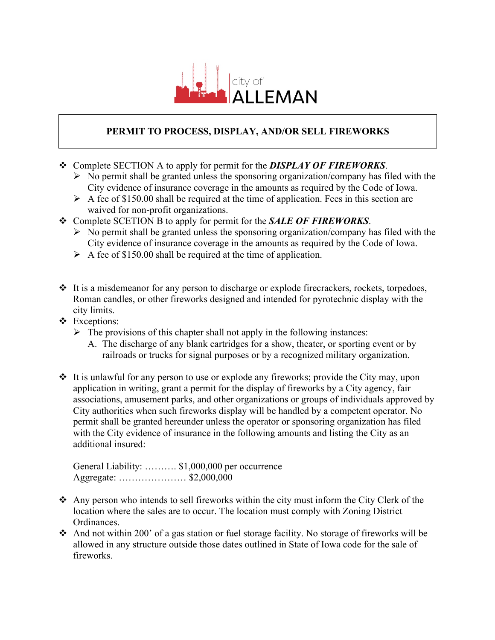

## **PERMIT TO PROCESS, DISPLAY, AND/OR SELL FIREWORKS**

- v Complete SECTION A to apply for permit for the *DISPLAY OF FIREWORKS*.
	- $\triangleright$  No permit shall be granted unless the sponsoring organization/company has filed with the City evidence of insurance coverage in the amounts as required by the Code of Iowa.
	- $\triangleright$  A fee of \$150.00 shall be required at the time of application. Fees in this section are waived for non-profit organizations.
- v Complete SCETION B to apply for permit for the *SALE OF FIREWORKS*.
	- $\triangleright$  No permit shall be granted unless the sponsoring organization/company has filed with the City evidence of insurance coverage in the amounts as required by the Code of Iowa.
	- $\triangleright$  A fee of \$150.00 shall be required at the time of application.
- $\cdot$  It is a misdemeanor for any person to discharge or explode firecrackers, rockets, torpedoes, Roman candles, or other fireworks designed and intended for pyrotechnic display with the city limits.
- \* Exceptions:
	- $\triangleright$  The provisions of this chapter shall not apply in the following instances:
		- A. The discharge of any blank cartridges for a show, theater, or sporting event or by railroads or trucks for signal purposes or by a recognized military organization.
- $\cdot$  It is unlawful for any person to use or explode any fireworks; provide the City may, upon application in writing, grant a permit for the display of fireworks by a City agency, fair associations, amusement parks, and other organizations or groups of individuals approved by City authorities when such fireworks display will be handled by a competent operator. No permit shall be granted hereunder unless the operator or sponsoring organization has filed with the City evidence of insurance in the following amounts and listing the City as an additional insured:

General Liability: ………. \$1,000,000 per occurrence Aggregate: ………………… \$2,000,000

- $\triangle$  Any person who intends to sell fireworks within the city must inform the City Clerk of the location where the sales are to occur. The location must comply with Zoning District Ordinances.
- \* And not within 200' of a gas station or fuel storage facility. No storage of fireworks will be allowed in any structure outside those dates outlined in State of Iowa code for the sale of fireworks.